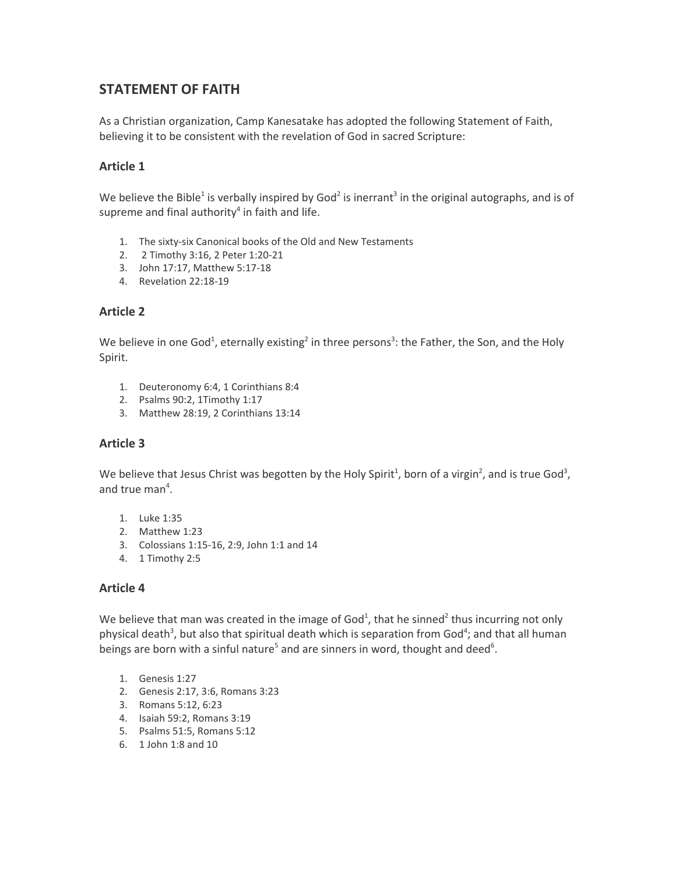# **STATEMENT OF FAITH**

As a Christian organization, Camp Kanesatake has adopted the following Statement of Faith, believing it to be consistent with the revelation of God in sacred Scripture:

# **Article 1**

We believe the Bible<sup>1</sup> is verbally inspired by God<sup>2</sup> is inerrant<sup>3</sup> in the original autographs, and is of supreme and final authority<sup>4</sup> in faith and life.

- 1. The sixty-six Canonical books of the Old and New Testaments
- 2. 2 Timothy 3:16, 2 Peter 1:20-21
- 3. John 17:17, Matthew 5:17-18
- 4. Revelation 22:18-19

## **Article 2**

We believe in one God<sup>1</sup>, eternally existing<sup>2</sup> in three persons<sup>3</sup>: the Father, the Son, and the Holy Spirit.

- 1. Deuteronomy 6:4, 1 Corinthians 8:4
- 2. Psalms 90:2, 1Timothy 1:17
- 3. Matthew 28:19, 2 Corinthians 13:14

# **Article 3**

We believe that Jesus Christ was begotten by the Holy Spirit<sup>1</sup>, born of a virgin<sup>2</sup>, and is true God<sup>3</sup>, and true man 4 .

- 1. Luke 1:35
- 2. Matthew 1:23
- 3. Colossians 1:15-16, 2:9, John 1:1 and 14
- 4. 1 Timothy 2:5

# **Article 4**

We believe that man was created in the image of God<sup>1</sup>, that he sinned<sup>2</sup> thus incurring not only physical death<sup>3</sup>, but also that spiritual death which is separation from God<sup>4</sup>; and that all human beings are born with a sinful nature<sup>5</sup> and are sinners in word, thought and deed<sup>6</sup>.

- 1. Genesis 1:27
- 2. Genesis 2:17, 3:6, Romans 3:23
- 3. Romans 5:12, 6:23
- 4. Isaiah 59:2, Romans 3:19
- 5. Psalms 51:5, Romans 5:12
- 6. 1 John 1:8 and 10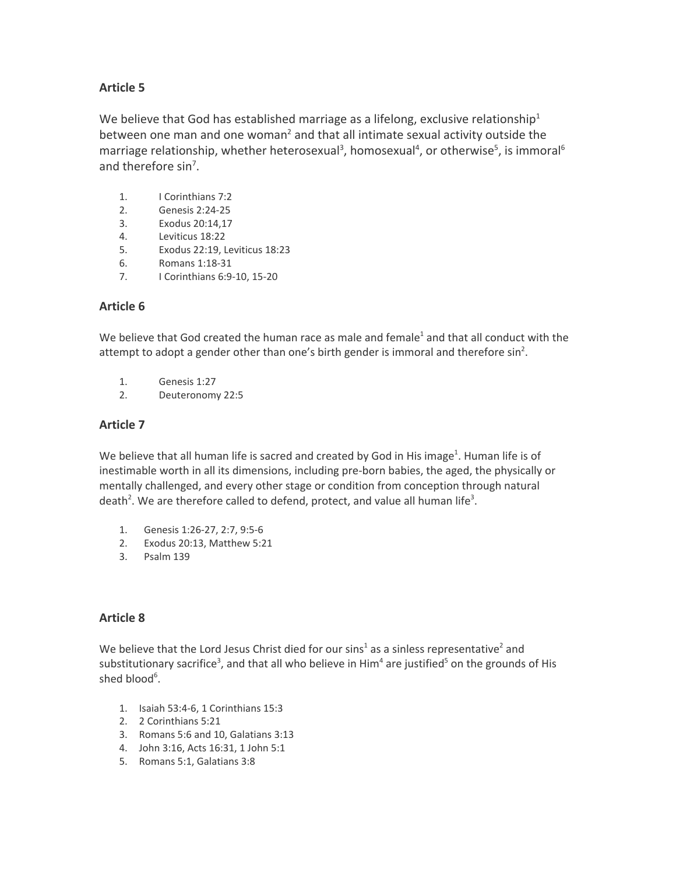# **Article 5**

We believe that God has established marriage as a lifelong, exclusive relationship<sup>1</sup> between one man and one woman<sup>2</sup> and that all intimate sexual activity outside the marriage relationship, whether heterosexual<sup>3</sup>, homosexual<sup>4</sup>, or otherwise<sup>5</sup>, is immoral<sup>6</sup> and therefore sin<sup>7</sup>.

- 1. I Corinthians 7:2
- 2. Genesis 2:24-25
- 3. Exodus 20:14,17
- 4. Leviticus 18:22
- 5. Exodus 22:19, Leviticus 18:23
- 6. Romans 1:18-31
- 7. I Corinthians 6:9-10, 15-20

# **Article 6**

We believe that God created the human race as male and female<sup>1</sup> and that all conduct with the attempt to adopt a gender other than one's birth gender is immoral and therefore sin<sup>2</sup>.

- 1. Genesis 1:27
- 2. Deuteronomy 22:5

# **Article 7**

We believe that all human life is sacred and created by God in His image<sup>1</sup>. Human life is of inestimable worth in all its dimensions, including pre-born babies, the aged, the physically or mentally challenged, and every other stage or condition from conception through natural death<sup>2</sup>. We are therefore called to defend, protect, and value all human life<sup>3</sup>.

- 1. Genesis 1:26-27, 2:7, 9:5-6
- 2. Exodus 20:13, Matthew 5:21
- 3. Psalm 139

# **Article 8**

We believe that the Lord Jesus Christ died for our sins<sup>1</sup> as a sinless representative<sup>2</sup> and substitutionary sacrifice<sup>3</sup>, and that all who believe in Him<sup>4</sup> are justified<sup>5</sup> on the grounds of His shed blood<sup>6</sup>.

- 1. Isaiah 53:4-6, 1 Corinthians 15:3
- 2. 2 Corinthians 5:21
- 3. Romans 5:6 and 10, Galatians 3:13
- 4. John 3:16, Acts 16:31, 1 John 5:1
- 5. Romans 5:1, Galatians 3:8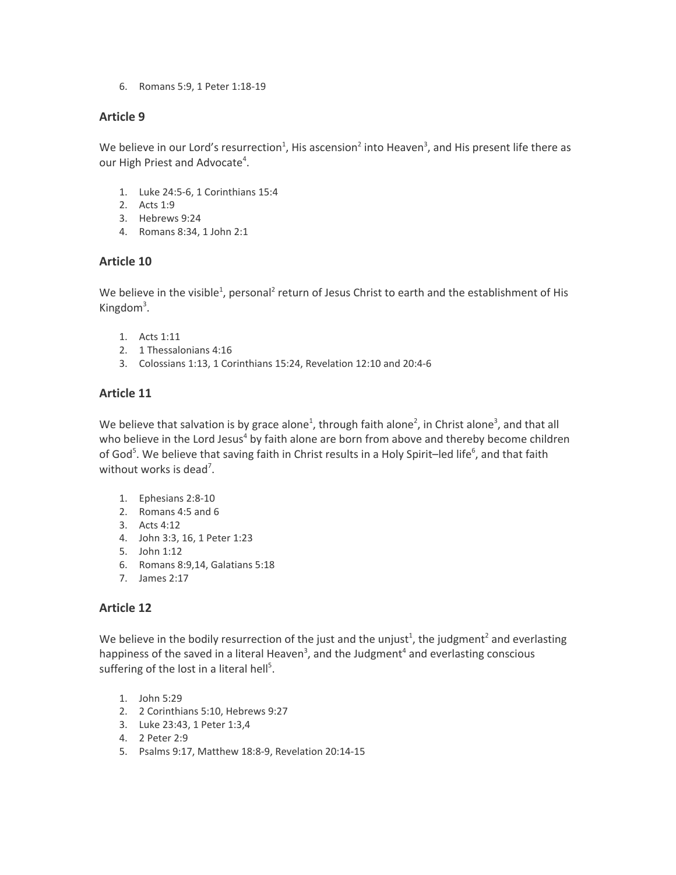6. Romans 5:9, 1 Peter 1:18-19

## **Article 9**

We believe in our Lord's resurrection<sup>1</sup>, His ascension<sup>2</sup> into Heaven<sup>3</sup>, and His present life there as our High Priest and Advocate<sup>4</sup>.

- 1. Luke 24:5-6, 1 Corinthians 15:4
- 2. Acts 1:9
- 3. Hebrews 9:24
- 4. Romans 8:34, 1 John 2:1

## **Article 10**

We believe in the visible<sup>1</sup>, personal<sup>2</sup> return of Jesus Christ to earth and the establishment of His Kingdom<sup>3</sup>.

- 1. Acts 1:11
- 2. 1 Thessalonians 4:16
- 3. Colossians 1:13, 1 Corinthians 15:24, Revelation 12:10 and 20:4-6

## **Article 11**

We believe that salvation is by grace alone<sup>1</sup>, through faith alone<sup>2</sup>, in Christ alone<sup>3</sup>, and that all who believe in the Lord Jesus<sup>4</sup> by faith alone are born from above and thereby become children of God<sup>5</sup>. We believe that saving faith in Christ results in a Holy Spirit-led life<sup>6</sup>, and that faith without works is dead<sup>7</sup>.

- 1. Ephesians 2:8-10
- 2. Romans 4:5 and 6
- 3. Acts 4:12
- 4. John 3:3, 16, 1 Peter 1:23
- 5. John 1:12
- 6. Romans 8:9,14, Galatians 5:18
- 7. James 2:17

# **Article 12**

We believe in the bodily resurrection of the just and the unjust<sup>1</sup>, the judgment<sup>2</sup> and everlasting happiness of the saved in a literal Heaven<sup>3</sup>, and the Judgment<sup>4</sup> and everlasting conscious suffering of the lost in a literal hell<sup>5</sup>.

- 1. John 5:29
- 2. 2 Corinthians 5:10, Hebrews 9:27
- 3. Luke 23:43, 1 Peter 1:3,4
- 4. 2 Peter 2:9
- 5. Psalms 9:17, Matthew 18:8-9, Revelation 20:14-15